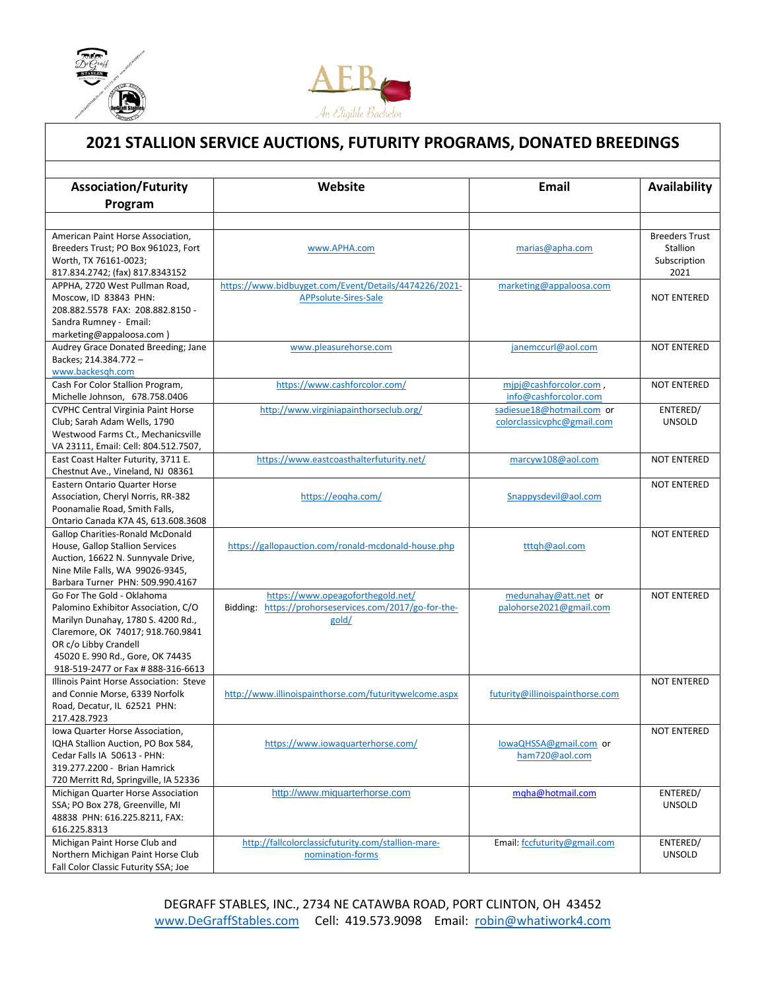

l



## **2021 STALLION SERVICE AUCTIONS, FUTURITY PROGRAMS, DONATED BREEDINGS**

| <b>Association/Futurity</b>                                               | Website                                                | Email                                    | Availability          |
|---------------------------------------------------------------------------|--------------------------------------------------------|------------------------------------------|-----------------------|
| Program                                                                   |                                                        |                                          |                       |
|                                                                           |                                                        |                                          |                       |
| American Paint Horse Association,                                         |                                                        |                                          | <b>Breeders Trust</b> |
| Breeders Trust; PO Box 961023, Fort                                       | www.APHA.com                                           | marias@apha.com                          | Stallion              |
| Worth, TX 76161-0023;                                                     |                                                        |                                          | Subscription          |
| 817.834.2742; (fax) 817.8343152                                           |                                                        |                                          | 2021                  |
| APPHA, 2720 West Pullman Road,                                            | https://www.bidbuyget.com/Event/Details/4474226/2021-  | marketing@appaloosa.com                  |                       |
| Moscow. ID 83843 PHN:                                                     | APPsolute-Sires-Sale                                   |                                          | <b>NOT ENTERED</b>    |
| 208.882.5578 FAX: 208.882.8150 -                                          |                                                        |                                          |                       |
| Sandra Rumney - Email:                                                    |                                                        |                                          |                       |
| marketing@appaloosa.com)                                                  |                                                        |                                          |                       |
| Audrey Grace Donated Breeding; Jane                                       | www.pleasurehorse.com                                  | janemccurl@aol.com                       | <b>NOT ENTERED</b>    |
| Backes; 214.384.772 -                                                     |                                                        |                                          |                       |
| www.backesgh.com                                                          |                                                        |                                          |                       |
| Cash For Color Stallion Program,                                          | https://www.cashforcolor.com/                          | mipj@cashforcolor.com,                   | <b>NOT ENTERED</b>    |
| Michelle Johnson, 678.758.0406                                            |                                                        | info@cashforcolor.com                    |                       |
| <b>CVPHC Central Virginia Paint Horse</b>                                 | http://www.virginiapainthorseclub.org/                 | sadiesue18@hotmail.com or                | ENTERED/              |
| Club; Sarah Adam Wells, 1790                                              |                                                        | colorclassicvphc@gmail.com               | <b>UNSOLD</b>         |
| Westwood Farms Ct., Mechanicsville                                        |                                                        |                                          |                       |
| VA 23111, Email: Cell: 804.512.7507,                                      |                                                        |                                          |                       |
| East Coast Halter Futurity, 3711 E.                                       | https://www.eastcoasthalterfuturity.net/               | marcyw108@aol.com                        | <b>NOT ENTERED</b>    |
| Chestnut Ave., Vineland, NJ 08361<br><b>Eastern Ontario Quarter Horse</b> |                                                        |                                          |                       |
| Association, Cheryl Norris, RR-382                                        | https://eogha.com/                                     | Snappysdevil@aol.com                     | <b>NOT ENTERED</b>    |
| Poonamalie Road, Smith Falls,                                             |                                                        |                                          |                       |
| Ontario Canada K7A 4S, 613.608.3608                                       |                                                        |                                          |                       |
| <b>Gallop Charities-Ronald McDonald</b>                                   |                                                        |                                          | <b>NOT ENTERED</b>    |
| House, Gallop Stallion Services                                           | https://gallopauction.com/ronald-mcdonald-house.php    | tttqh@aol.com                            |                       |
| Auction, 16622 N. Sunnyvale Drive,                                        |                                                        |                                          |                       |
| Nine Mile Falls, WA 99026-9345,                                           |                                                        |                                          |                       |
| Barbara Turner PHN: 509.990.4167                                          |                                                        |                                          |                       |
| Go For The Gold - Oklahoma                                                | https://www.opeagoforthegold.net/                      | medunahay@att.net or                     | <b>NOT ENTERED</b>    |
| Palomino Exhibitor Association, C/O                                       | Bidding: https://prohorseservices.com/2017/go-for-the- | palohorse2021@gmail.com                  |                       |
| Marilyn Dunahay, 1780 S. 4200 Rd.,                                        | gold/                                                  |                                          |                       |
| Claremore, OK 74017; 918.760.9841                                         |                                                        |                                          |                       |
| OR c/o Libby Crandell                                                     |                                                        |                                          |                       |
| 45020 E. 990 Rd., Gore, OK 74435                                          |                                                        |                                          |                       |
| 918-519-2477 or Fax # 888-316-6613                                        |                                                        |                                          |                       |
| Illinois Paint Horse Association: Steve                                   |                                                        |                                          | <b>NOT ENTERED</b>    |
| and Connie Morse, 6339 Norfolk                                            | http://www.illinoispainthorse.com/futuritywelcome.aspx | futurity@illinoispainthorse.com          |                       |
| Road, Decatur, IL 62521 PHN:                                              |                                                        |                                          |                       |
| 217.428.7923                                                              |                                                        |                                          |                       |
| Iowa Quarter Horse Association,                                           |                                                        |                                          | <b>NOT ENTERED</b>    |
| IQHA Stallion Auction, PO Box 584,<br>Cedar Falls IA 50613 - PHN:         | https://www.iowaquarterhorse.com/                      | lowaQHSSA@gmail.com or<br>ham720@aol.com |                       |
| 319.277.2200 - Brian Hamrick                                              |                                                        |                                          |                       |
| 720 Merritt Rd, Springville, IA 52336                                     |                                                        |                                          |                       |
| Michigan Quarter Horse Association                                        | http://www.miquarterhorse.com                          | mgha@hotmail.com                         | ENTERED/              |
| SSA; PO Box 278, Greenville, MI                                           |                                                        |                                          | <b>UNSOLD</b>         |
| 48838 PHN: 616.225.8211, FAX:                                             |                                                        |                                          |                       |
| 616.225.8313                                                              |                                                        |                                          |                       |
| Michigan Paint Horse Club and                                             | http://fallcolorclassicfuturity.com/stallion-mare-     | Email: fccfuturity@gmail.com             | ENTERED/              |
| Northern Michigan Paint Horse Club                                        | nomination-forms                                       |                                          | <b>UNSOLD</b>         |
| Fall Color Classic Futurity SSA; Joe                                      |                                                        |                                          |                       |